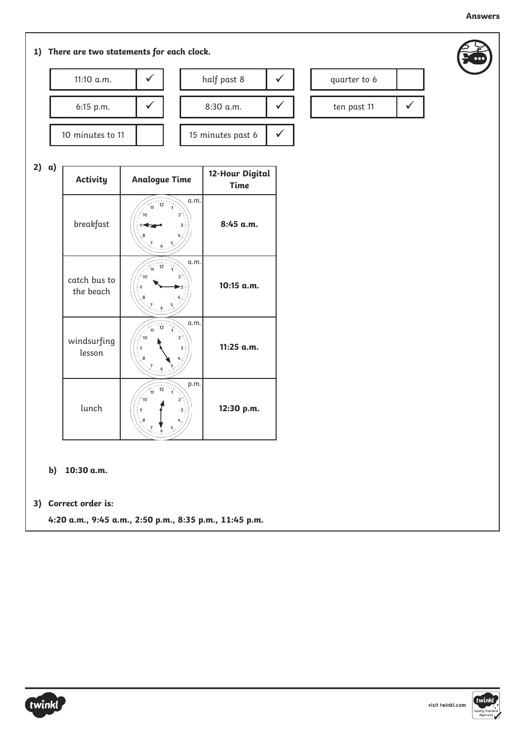